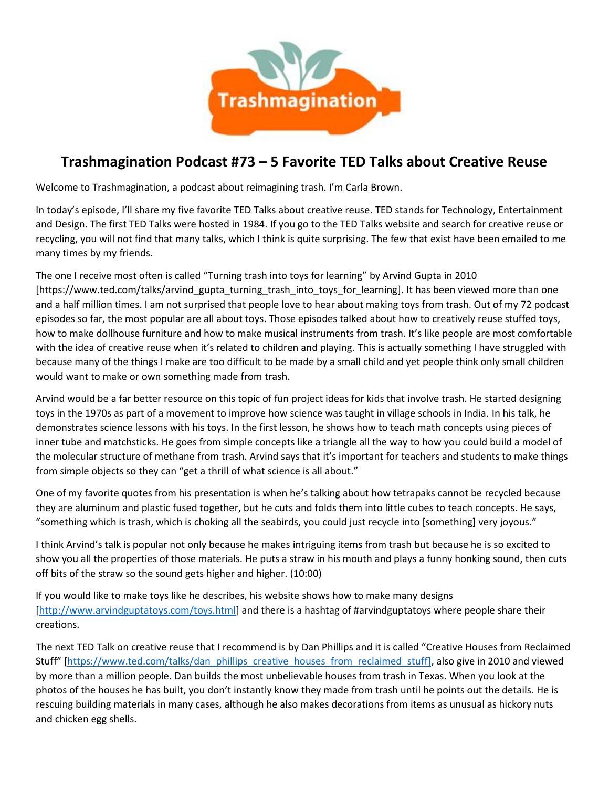

## **Trashmagination Podcast #73 – 5 Favorite TED Talks about Creative Reuse**

Welcome to Trashmagination, a podcast about reimagining trash. I'm Carla Brown.

In today's episode, I'll share my five favorite TED Talks about creative reuse. TED stands for Technology, Entertainment and Design. The first TED Talks were hosted in 1984. If you go to the TED Talks website and search for creative reuse or recycling, you will not find that many talks, which I think is quite surprising. The few that exist have been emailed to me many times by my friends.

The one I receive most often is called "Turning trash into toys for learning" by Arvind Gupta in 2010 [https://www.ted.com/talks/arvind\_gupta\_turning\_trash\_into\_toys\_for\_learning]. It has been viewed more than one and a half million times. I am not surprised that people love to hear about making toys from trash. Out of my 72 podcast episodes so far, the most popular are all about toys. Those episodes talked about how to creatively reuse stuffed toys, how to make dollhouse furniture and how to make musical instruments from trash. It's like people are most comfortable with the idea of creative reuse when it's related to children and playing. This is actually something I have struggled with because many ofthe things I make are too difficult to be made by a small child and yet people think only small children would want to make or own something made from trash.

Arvind would be a far better resource on this topic of fun project ideas for kids that involve trash. He started designing toys in the 1970s as part of a movement to improve how science was taught in village schools in India. In his talk, he demonstrates science lessons with his toys. In the first lesson, he shows how to teach math concepts using pieces of inner tube and matchsticks. He goes from simple concepts like a triangle all the way to how you could build a model of the molecular structure of methane from trash. Arvind says that it's important for teachers and students to make things from simple objects so they can "get a thrill of what science is all about."

One of my favorite quotes from his presentation is when he's talking about how tetrapaks cannot be recycled because they are aluminum and plastic fused together, but he cuts and folds them into little cubes to teach concepts. He says, "something which is trash, which is choking all the seabirds, you could just recycle into [something] very joyous."

I think Arvind's talk is popular not only because he makes intriguing items from trash but because he is so excited to show you all the properties of those materials. He puts a straw in his mouth and plays a funny honking sound, then cuts off bits of the straw so the sound gets higher and higher. (10:00)

If you would like to make toys like he describes, his website shows how to make many designs [http://www.arvindguptatoys.com/toys.html] and there is a hashtag of #arvindguptatoys where people share their creations.

The next TED Talk on creative reuse that I recommend is by Dan Phillips and it is called "Creative Houses from Reclaimed Stuff" [https://www.ted.com/talks/dan\_phillips\_creative\_houses\_from\_reclaimed\_stuff], also give in 2010 and viewed by more than a million people. Dan builds the most unbelievable houses from trash in Texas. When you look at the photos of the houses he has built, you don't instantly know they made from trash until he points out the details. He is rescuing building materials in many cases, although he also makes decorations from items as unusual as hickory nuts and chicken egg shells.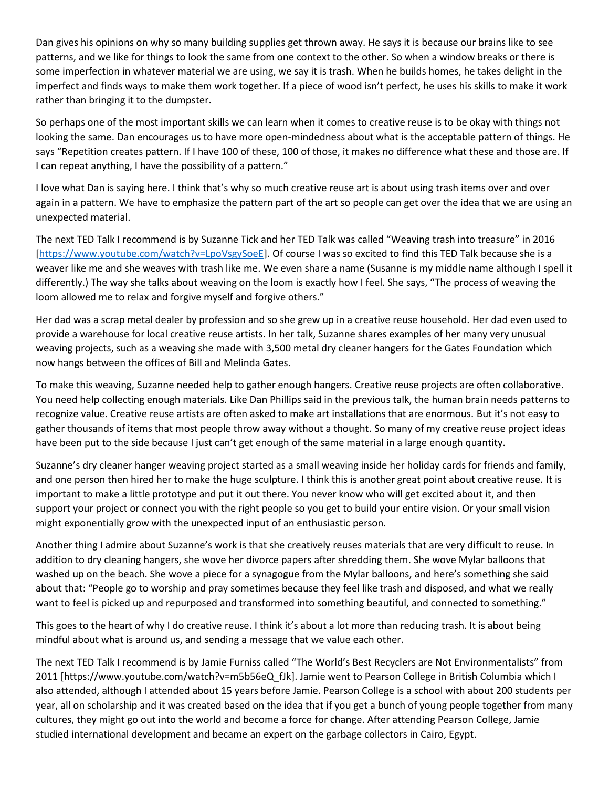Dan gives his opinions on why so many building supplies get thrown away. He says it is because our brains like to see patterns, and we like for things to look the same from one context to the other. So when a window breaks or there is some imperfection in whatever material we are using, we say it is trash. When he builds homes, he takes delight in the imperfect and finds ways to make them work together. If a piece of wood isn't perfect, he uses his skills to make it work rather than bringing it to the dumpster.

So perhaps one of the most important skills we can learn when it comes to creative reuse is to be okay with things not looking the same. Dan encourages us to have more open-mindedness about what is the acceptable pattern of things. He says "Repetition creates pattern. If I have 100 of these, 100 of those, it makes no difference what these and those are. If I can repeat anything, I have the possibility of a pattern."

I love what Dan is saying here. I think that's why so much creative reuse art is about using trash items over and over again in a pattern. We have to emphasize the pattern part of the art so people can get over the idea that we are using an unexpected material.

The next TED Talk I recommend is by Suzanne Tick and her TED Talk was called "Weaving trash into treasure" in 2016 [https://www.youtube.com/watch?v=LpoVsgySoeE]. Of course I was so excited to find this TED Talk because she is a weaver like me and she weaves with trash like me. We even share a name (Susanne is my middle name although I spell it differently.) The way she talks about weaving on the loom is exactly how I feel. She says, "The process of weaving the loom allowed me to relax and forgive myself and forgive others."

Her dad was a scrap metal dealer by profession and so she grew up in a creative reuse household. Her dad even used to provide a warehouse for local creative reuse artists. In her talk, Suzanne shares examples of her many very unusual weaving projects, such as a weaving she made with 3,500 metal dry cleaner hangers for the Gates Foundation which now hangs between the offices of Bill and Melinda Gates.

To make this weaving, Suzanne needed help to gather enough hangers. Creative reuse projects are often collaborative. You need help collecting enough materials. Like Dan Phillips said in the previous talk, the human brain needs patterns to recognize value. Creative reuse artists are often asked to make art installations that are enormous. But it's not easy to gather thousands of items that most people throw away without a thought. So many of my creative reuse project ideas have been put to the side because I just can't get enough of the same material in a large enough quantity.

Suzanne's dry cleaner hanger weaving project started as a small weaving inside her holiday cards for friends and family, and one person then hired her to make the huge sculpture. I think this is another great point about creative reuse. It is important to make a little prototype and put it out there. You never know who will get excited about it, and then support your project or connect you with the right people so you get to build your entire vision. Or your small vision might exponentially grow with the unexpected input of an enthusiastic person.

Another thing I admire about Suzanne's work is that she creatively reuses materials that are very difficult to reuse. In addition to dry cleaning hangers, she wove her divorce papers after shredding them. She wove Mylar balloons that washed up on the beach. She wove a piece for a synagogue from the Mylar balloons, and here's something she said about that: "People go to worship and pray sometimes because they feel like trash and disposed, and what we really want to feel is picked up and repurposed and transformed into something beautiful, and connected to something."

This goes to the heart of why I do creative reuse. I think it's about a lot more than reducing trash. It is about being mindful about what is around us, and sending a message that we value each other.

The next TED Talk I recommend is by Jamie Furniss called "The World's Best Recyclers are Not Environmentalists" from 2011 [https://www.youtube.com/watch?v=m5b56eQ\_fJk]. Jamie went to Pearson College in British Columbia which I also attended, although I attended about 15 years before Jamie. Pearson College is a school with about 200 students per year, all on scholarship and it was created based on the idea that if you get a bunch of young people together from many cultures, they might go out into the world and become a force for change. After attending Pearson College, Jamie studied international development and became an expert on the garbage collectors in Cairo, Egypt.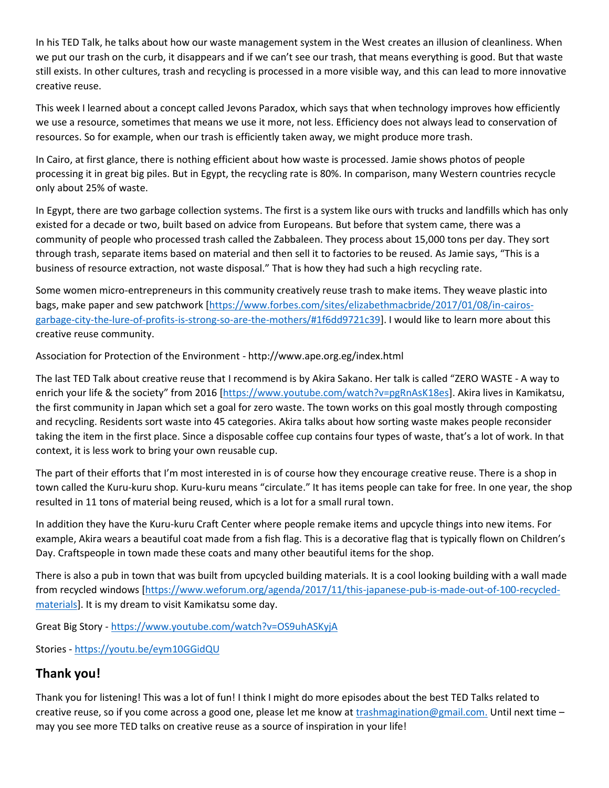In his TED Talk, he talks about how our waste management system in the West creates an illusion of cleanliness. When we put our trash on the curb, it disappears and if we can't see our trash, that means everything is good. But that waste still exists. In other cultures, trash and recycling is processed in a more visible way, and this can lead to more innovative creative reuse.

This week I learned about a concept called Jevons Paradox, which says that when technology improves how efficiently we use a resource, sometimes that means we use it more, not less. Efficiency does not always lead to conservation of resources. So for example, when our trash is efficiently taken away, we might produce more trash.

In Cairo, at first glance, there is nothing efficient about how waste is processed. Jamie shows photos of people processing it in great big piles. But in Egypt, the recycling rate is 80%. In comparison, many Western countries recycle only about 25% of waste.

In Egypt, there are two garbage collection systems. The first is a system like ours with trucks and landfills which has only existed for a decade or two, built based on advice from Europeans. But before that system came, there was a community of people who processed trash called the Zabbaleen. They process about 15,000 tons per day. They sort through trash, separate items based on material and then sell it to factories to be reused. As Jamie says, "This is a business of resource extraction, not waste disposal." That is how they had such a high recycling rate.

Some women micro-entrepreneurs in this community creatively reuse trash to make items. They weave plastic into bags, make paper and sew patchwork [https://www.forbes.com/sites/elizabethmacbride/2017/01/08/in-cairos garbage-city-the-lure-of-profits-is-strong-so-are-the-mothers/#1f6dd9721c39]. I would like to learn more about this creative reuse community.

Association for Protection of the Environment - http://www.ape.org.eg/index.html

The last TED Talk about creative reuse that I recommend is by Akira Sakano. Her talk is called "ZERO WASTE - A way to enrich your life & the society" from 2016 [https://www.youtube.com/watch?v=pgRnAsK18es]. Akira lives in Kamikatsu, the first community in Japan which set a goal for zero waste. The town works on this goal mostly through composting and recycling. Residents sort waste into 45 categories. Akira talks about how sorting waste makes people reconsider taking the item in the first place. Since a disposable coffee cup contains four types of waste, that's a lot of work. In that context, it is less work to bring your own reusable cup.

The part of their efforts that I'm most interested in is of course how they encourage creative reuse. There is a shop in town called the Kuru-kuru shop. Kuru-kuru means "circulate." It has items people can take for free. In one year, the shop resulted in 11 tons of material being reused, which is a lot for a small rural town.

In addition they have the Kuru-kuru Craft Center where people remake items and upcycle things into new items. For example, Akira wears a beautiful coat made from a fish flag. This is a decorative flag that is typically flown on Children's Day. Craftspeople in town made these coats and many other beautiful items for the shop.

There is also a pub in town that was built from upcycled building materials. It is a cool looking building with a wall made from recycled windows [https://www.weforum.org/agenda/2017/11/this-japanese-pub-is-made-out-of-100-recycled materials]. It is my dream to visit Kamikatsu some day.

Great Big Story - https://www.youtube.com/watch?v=OS9uhASKyjA

Stories - https://youtu.be/eym10GGidQU

## **Thank you!**

Thank you for listening! This was a lot of fun! I think I might do more episodes about the best TED Talks related to creative reuse, so if you come across a good one, please let me know at trashmagination@gmail.com. Until next time – may you see more TED talks on creative reuse as a source of inspiration in your life!